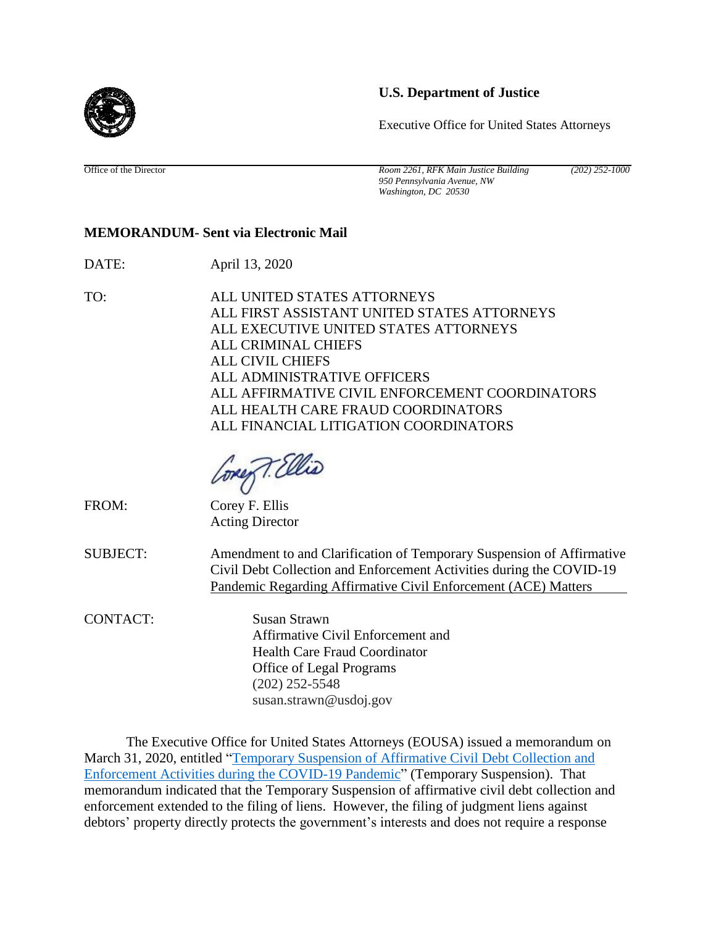## **U.S. Department of Justice**

Executive Office for United States Attorneys

Office of the Director *Room 2261, RFK Main Justice Building (202) 252-1000 950 Pennsylvania Avenue, NW Washington, DC 20530*

## **MEMORANDUM- Sent via Electronic Mail**

DATE: April 13, 2020

TO: ALL UNITED STATES ATTORNEYS ALL FIRST ASSISTANT UNITED STATES ATTORNEYS ALL EXECUTIVE UNITED STATES ATTORNEYS ALL CRIMINAL CHIEFS ALL CIVIL CHIEFS ALL ADMINISTRATIVE OFFICERS ALL AFFIRMATIVE CIVIL ENFORCEMENT COORDINATORS ALL HEALTH CARE FRAUD COORDINATORS ALL FINANCIAL LITIGATION COORDINATORS

ore T. Ellis

FROM: Corey F. Ellis

Acting Director

SUBJECT: Amendment to and Clarification of Temporary Suspension of Affirmative Civil Debt Collection and Enforcement Activities during the COVID-19 Pandemic Regarding Affirmative Civil Enforcement (ACE) Matters

CONTACT: Susan Strawn Affirmative Civil Enforcement and Health Care Fraud Coordinator Office of Legal Programs (202) 252-5548 susan.strawn@usdoj.gov

The Executive Office for United States Attorneys (EOUSA) issued a memorandum on March 31, 2020, entitled ["Temporary Suspension of Affirmative Civil Debt Collection and](https://usanet.usa.doj.gov/memos/SiteAssets/Pages/default/signed-%20Memo%20to%20USAOs%20temporary%20stop%20on%20civil%20collection.pdf)  [Enforcement Activities during the COVID-19 Pandemic"](https://usanet.usa.doj.gov/memos/SiteAssets/Pages/default/signed-%20Memo%20to%20USAOs%20temporary%20stop%20on%20civil%20collection.pdf) (Temporary Suspension). That memorandum indicated that the Temporary Suspension of affirmative civil debt collection and enforcement extended to the filing of liens. However, the filing of judgment liens against debtors' property directly protects the government's interests and does not require a response

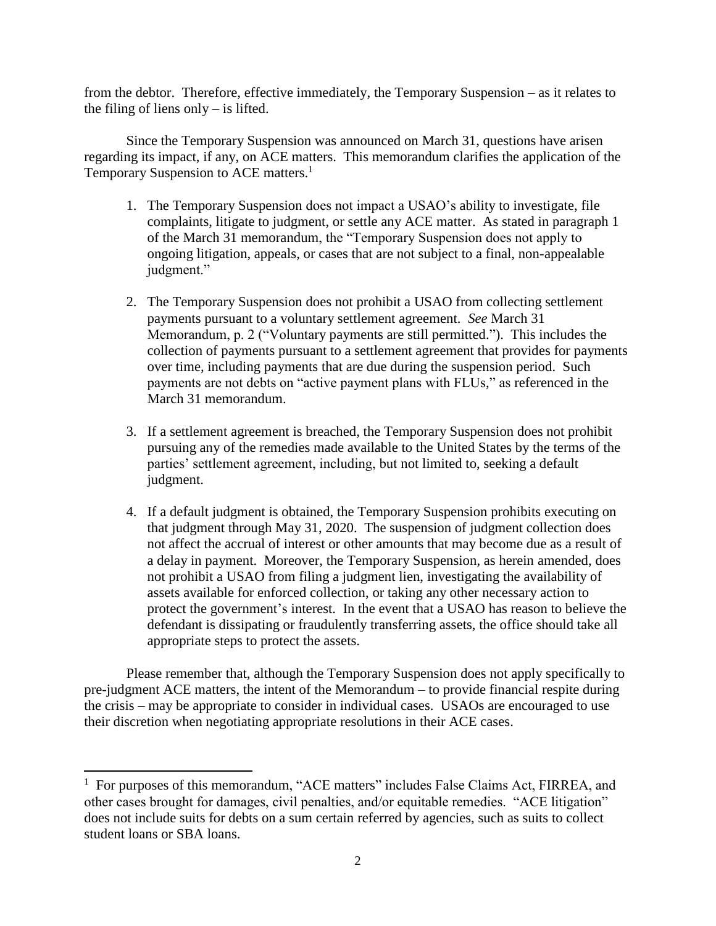from the debtor. Therefore, effective immediately, the Temporary Suspension – as it relates to the filing of liens only  $-$  is lifted.

Since the Temporary Suspension was announced on March 31, questions have arisen regarding its impact, if any, on ACE matters. This memorandum clarifies the application of the Temporary Suspension to ACE matters.<sup>1</sup>

- 1. The Temporary Suspension does not impact a USAO's ability to investigate, file complaints, litigate to judgment, or settle any ACE matter. As stated in paragraph 1 of the March 31 memorandum, the "Temporary Suspension does not apply to ongoing litigation, appeals, or cases that are not subject to a final, non-appealable judgment."
- 2. The Temporary Suspension does not prohibit a USAO from collecting settlement payments pursuant to a voluntary settlement agreement. *See* March 31 Memorandum, p. 2 ("Voluntary payments are still permitted."). This includes the collection of payments pursuant to a settlement agreement that provides for payments over time, including payments that are due during the suspension period. Such payments are not debts on "active payment plans with FLUs," as referenced in the March 31 memorandum.
- 3. If a settlement agreement is breached, the Temporary Suspension does not prohibit pursuing any of the remedies made available to the United States by the terms of the parties' settlement agreement, including, but not limited to, seeking a default judgment.
- 4. If a default judgment is obtained, the Temporary Suspension prohibits executing on that judgment through May 31, 2020. The suspension of judgment collection does not affect the accrual of interest or other amounts that may become due as a result of a delay in payment. Moreover, the Temporary Suspension, as herein amended, does not prohibit a USAO from filing a judgment lien, investigating the availability of assets available for enforced collection, or taking any other necessary action to protect the government's interest. In the event that a USAO has reason to believe the defendant is dissipating or fraudulently transferring assets, the office should take all appropriate steps to protect the assets.

Please remember that, although the Temporary Suspension does not apply specifically to pre-judgment ACE matters, the intent of the Memorandum – to provide financial respite during the crisis – may be appropriate to consider in individual cases. USAOs are encouraged to use their discretion when negotiating appropriate resolutions in their ACE cases.

l

<sup>&</sup>lt;sup>1</sup> For purposes of this memorandum, "ACE matters" includes False Claims Act, FIRREA, and other cases brought for damages, civil penalties, and/or equitable remedies. "ACE litigation" does not include suits for debts on a sum certain referred by agencies, such as suits to collect student loans or SBA loans.